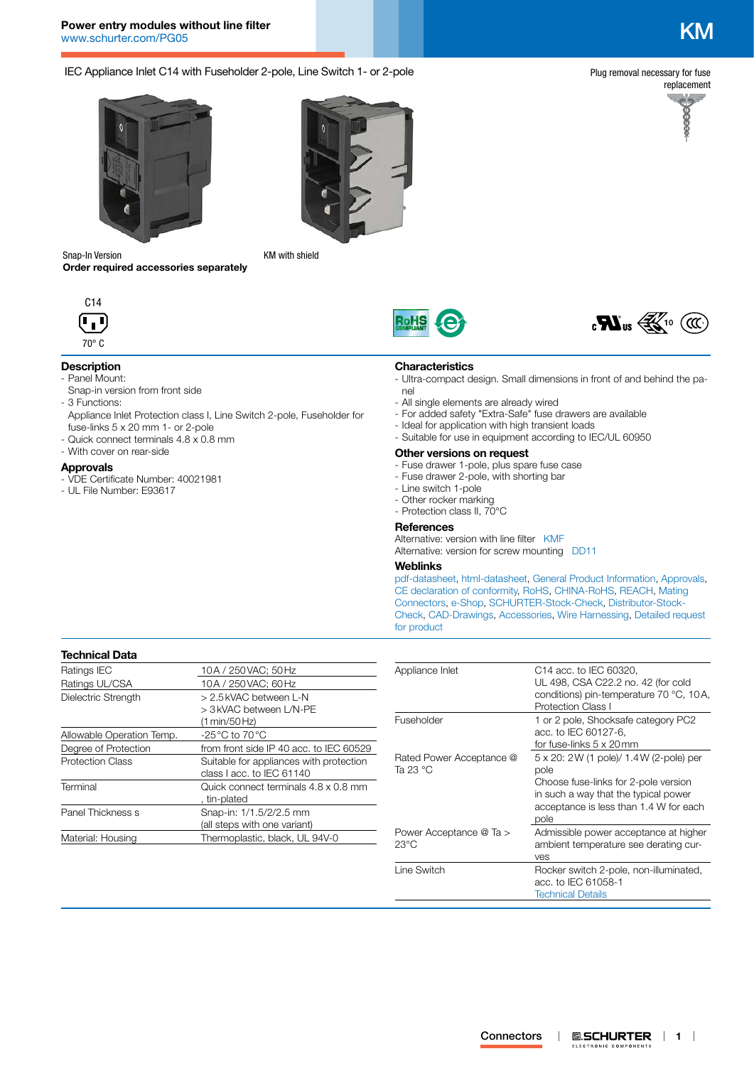# **Power entry modules without line filter** [www.schurter.com/PG05](http://www.schurter.com/PG05) KM

IEC Appliance Inlet C14 with Fuseholder 2-pole, Line Switch 1- or 2-pole

Plug removal necessary for fuse





Snap-In Version **Order required accessories separately**



## **Description**

- Panel Mount:
- Snap-in version from front side - 3 Functions:
- Appliance Inlet Protection class I, Line Switch 2-pole, Fuseholder for fuse-links 5 x 20 mm 1- or 2-pole
- Quick connect terminals 4.8 x 0.8 mm
- With cover on rear-side

#### **Approvals**

- VDE Certificate Number: 40021981
- UL File Number: E93617



KM with shield





## **Characteristics**

- Ultra-compact design. Small dimensions in front of and behind the panel
- All single elements are already wired
- For added safety "Extra-Safe" fuse drawers are available
- Ideal for application with high transient loads
- Suitable for use in equipment according to IEC/UL 60950

#### **Other versions on request**

- Fuse drawer 1-pole, plus spare fuse case
- Fuse drawer 2-pole, with shorting bar
- Line switch 1-pole
- Other rocker marking
- Protection class II, 70°C

## **References**

Alternative: version with line filter [KMF](http://www.schurter.ch/pdf/english/typ_KMF.pdf) Alternative: version for screw mounting [DD11](http://www.schurter.ch/pdf/english/typ_DD11.pdf)

#### **Weblinks**

[pdf-datasheet](http://www.schurter.ch/pdf/english/typ_KM.pdf), [html-datasheet](http://www.schurter.ch/en/datasheet/KM), [General Product Information,](http://www.schurter.ch/products/iec_connector_overview.asp) [Approvals](http://www.schurter.ch/en/Documents-References/Approvals/(id)/KM), [CE declaration of conformity,](http://www.schurter.com/en/Documents-References/Approvals/(id)/KM+AND+FIELD+CertificationInstitute=SAG) [RoHS](http://www.schurter.ch/company/rohs.asp), [CHINA-RoHS](http://www.schurter.ch/company/china_rohs.asp), [REACH,](http://www.schurter.ch/REACH) [Mating](http://www.schurter.ch/Components/Connectors/Mating-Connectors)  [Connectors,](http://www.schurter.ch/Components/Connectors/Mating-Connectors) [e-Shop,](http://www.schurter.ch/en/datasheet/KM#Anker_Variants) [SCHURTER-Stock-Check](http://www.schurter.ch/en/Stock-Check/Stock-Check-SCHURTER?MAKTX=KM&COM_QTY=1&AUTOSEARCH=true), [Distributor-Stock-](http://www.schurter.com/en/Stock-Check/Stock-Check-Distributor?partnumber1=KM)[Check](http://www.schurter.com/en/Stock-Check/Stock-Check-Distributor?partnumber1=KM), [CAD-Drawings,](http://www.schurter.com/support/iframe_cad.asp?SearchText=KM&ConfirmButton&SearchFilter=Type) [Accessories,](http://www.schurter.ch/wwwsc/con_z01.asp) [Wire Harnessing,](http://www.schurter.com/en/Components/Connectors/Wire-Harness-Request/(typ)/KM) [Detailed request](http://www.schurter.com/en/Contacts/Contact-Form?type=KM)  [for product](http://www.schurter.com/en/Contacts/Contact-Form?type=KM)

## **Technical Data**

| Ratings IEC               | 10A / 250 VAC: 50 Hz                                                 |
|---------------------------|----------------------------------------------------------------------|
| Ratings UL/CSA            | 10A / 250 VAC; 60 Hz                                                 |
| Dielectric Strength       | > 2.5 kVAC between L-N<br>> 3 kVAC between L/N-PE<br>(1 min/50 Hz)   |
| Allowable Operation Temp. | $-25\,^{\circ}\text{C}$ to 70 $^{\circ}\text{C}$                     |
| Degree of Protection      | from front side IP 40 acc. to IEC 60529                              |
| <b>Protection Class</b>   | Suitable for appliances with protection<br>class I acc. to IEC 61140 |
| Terminal                  | Quick connect terminals 4.8 x 0.8 mm<br>, tin-plated                 |
| Panel Thickness s         | Snap-in: 1/1.5/2/2.5 mm<br>(all steps with one variant)              |
| Material: Housing         | Thermoplastic, black, UL 94V-0                                       |
|                           |                                                                      |

| Appliance Inlet                           | C <sub>14</sub> acc. to IEC 60320,<br>UL 498, CSA C22.2 no. 42 (for cold<br>conditions) pin-temperature 70 °C, 10A,<br><b>Protection Class I</b>                                   |
|-------------------------------------------|------------------------------------------------------------------------------------------------------------------------------------------------------------------------------------|
| Fuseholder                                | 1 or 2 pole, Shocksafe category PC2<br>acc. to IEC 60127-6.<br>for fuse-links 5 x 20mm                                                                                             |
| Rated Power Acceptance @<br>Ta 23 °C      | 5 x 20: 2 W (1 pole)/ 1.4 W (2-pole) per<br>pole<br>Choose fuse-links for 2-pole version<br>in such a way that the typical power<br>acceptance is less than 1.4 W for each<br>pole |
| Power Acceptance @ Ta ><br>$23^{\circ}$ C | Admissible power acceptance at higher<br>ambient temperature see derating cur-<br>ves                                                                                              |
| Line Switch                               | Rocker switch 2-pole, non-illuminated,<br>acc. to IEC 61058-1<br><b>Technical Details</b>                                                                                          |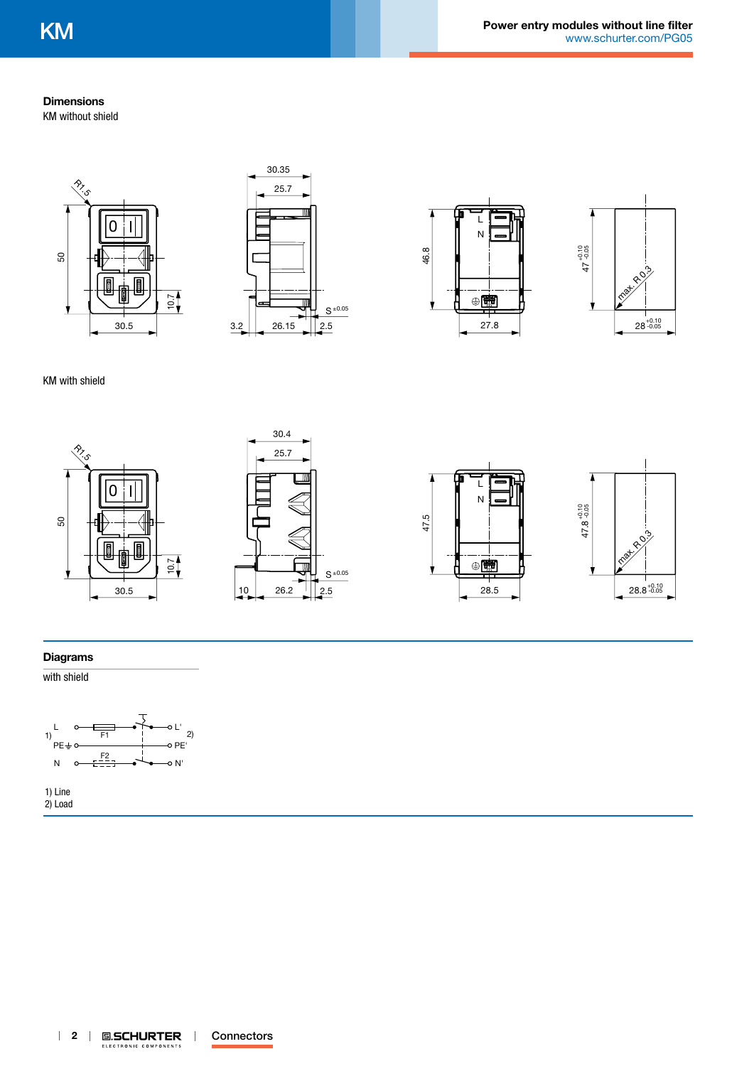## **Dimensions**

KM without shield









KM with shield

 $\overset{\textcirc}{\sim}_{\mathcal{S}}$ 









## **Diagrams**

50

with shield



1) Line 2) Load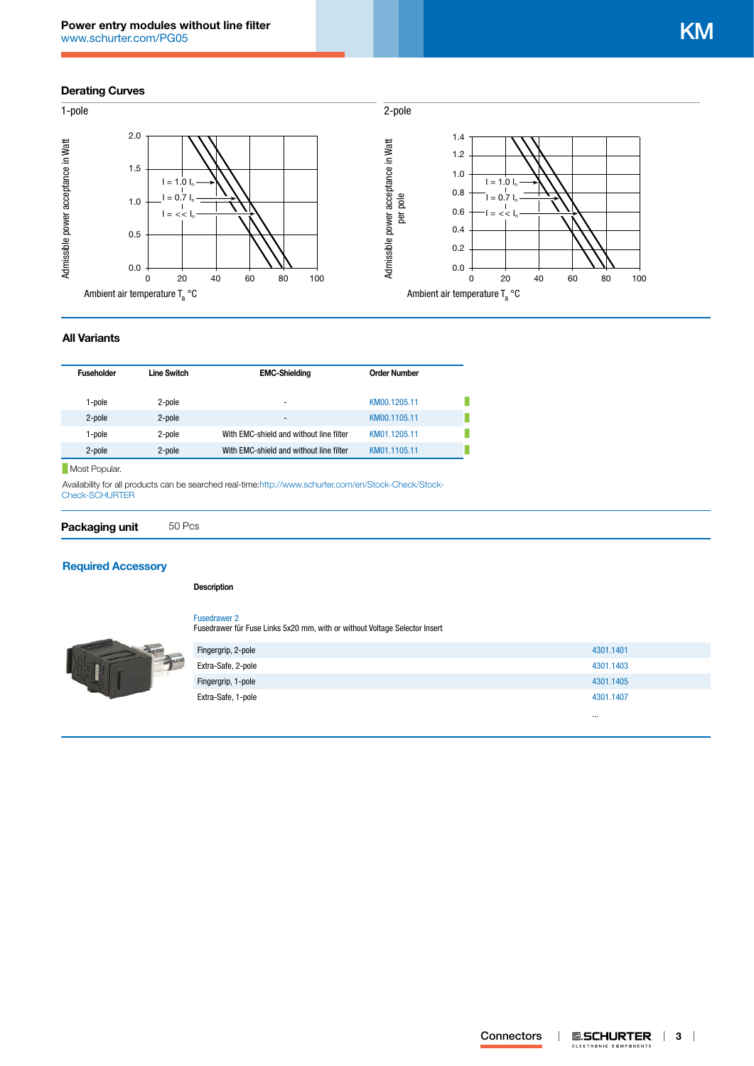## **Derating Curves**



## **All Variants**

| <b>Fuseholder</b> | Line Switch | <b>EMC-Shielding</b>                    | <b>Order Number</b> |  |
|-------------------|-------------|-----------------------------------------|---------------------|--|
|                   |             |                                         |                     |  |
|                   |             |                                         |                     |  |
| 1-pole            | 2-pole      | $\overline{\phantom{a}}$                | KM00.1205.11        |  |
| 2-pole            | 2-pole      | $\overline{\phantom{a}}$                | KM00.1105.11        |  |
| 1-pole            | 2-pole      | With EMC-shield and without line filter | KM01.1205.11        |  |
|                   |             |                                         |                     |  |
| 2-pole            | 2-pole      | With EMC-shield and without line filter | KM01.1105.11        |  |

Most Popular.

Availability for all products can be searched real-time[:http://www.schurter.com/en/Stock-Check/Stock-](http://www.schurter.com/en/Stock-Check/Stock-Check-SCHURTER)[Check-SCHURTER](http://www.schurter.com/en/Stock-Check/Stock-Check-SCHURTER)

**Packaging unit** 50 Pcs

## **[Required Accessory](http://www.schurter.ch/wwwsc/con_z01.asp)**

#### **Description**

[Fusedrawer 2](http://www.schurter.ch/pdf/english/typ_Fusedrawer_2.pdf)

Fusedrawer für Fuse Links 5x20 mm, with or without Voltage Selector Insert

| Fingergrip, 2-pole | 4301.1401 |
|--------------------|-----------|
| Extra-Safe, 2-pole | 4301.1403 |
| Fingergrip, 1-pole | 4301.1405 |
| Extra-Safe, 1-pole | 4301.1407 |
|                    | $\cdots$  |